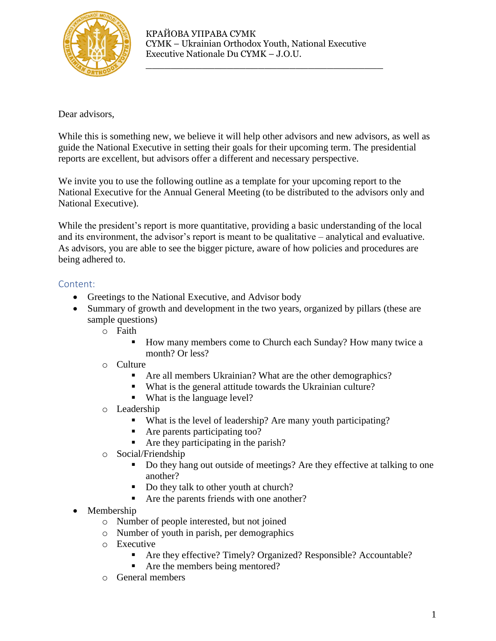

\_\_\_\_\_\_\_\_\_\_\_\_\_\_\_\_\_\_\_\_\_\_\_\_\_\_\_\_\_\_\_\_\_\_\_\_\_\_

Dear advisors,

While this is something new, we believe it will help other advisors and new advisors, as well as guide the National Executive in setting their goals for their upcoming term. The presidential reports are excellent, but advisors offer a different and necessary perspective.

We invite you to use the following outline as a template for your upcoming report to the National Executive for the Annual General Meeting (to be distributed to the advisors only and National Executive).

While the president's report is more quantitative, providing a basic understanding of the local and its environment, the advisor's report is meant to be qualitative – analytical and evaluative. As advisors, you are able to see the bigger picture, aware of how policies and procedures are being adhered to.

## Content:

- Greetings to the National Executive, and Advisor body
- Summary of growth and development in the two years, organized by pillars (these are sample questions)
	- o Faith
		- How many members come to Church each Sunday? How many twice a month? Or less?
	- o Culture
		- Are all members Ukrainian? What are the other demographics?
		- What is the general attitude towards the Ukrainian culture?
		- What is the language level?
	- o Leadership
		- What is the level of leadership? Are many youth participating?
		- Are parents participating too?
		- Are they participating in the parish?
	- o Social/Friendship
		- Do they hang out outside of meetings? Are they effective at talking to one another?
		- Do they talk to other youth at church?
		- Are the parents friends with one another?
- Membership
	- o Number of people interested, but not joined
	- o Number of youth in parish, per demographics
	- o Executive
		- Are they effective? Timely? Organized? Responsible? Accountable?
		- Are the members being mentored?
	- o General members